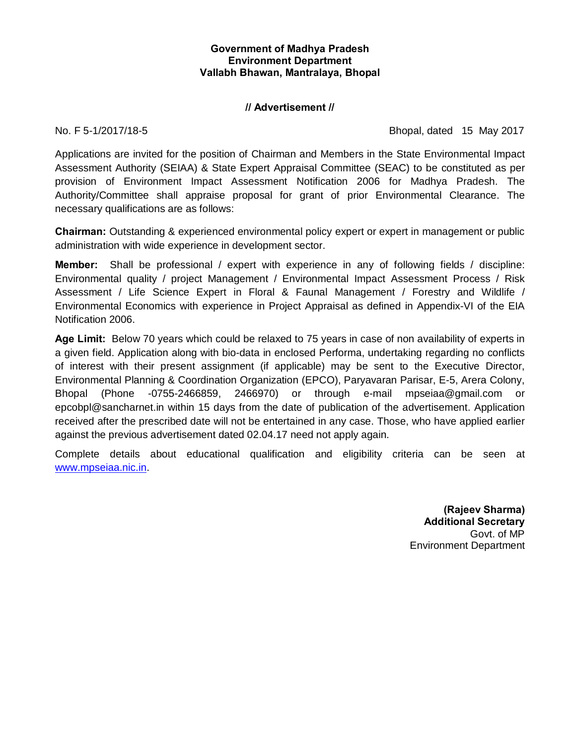# **Government of Madhya Pradesh Environment Department Vallabh Bhawan, Mantralaya, Bhopal**

## **// Advertisement //**

No. F 5-1/2017/18-5 Bhopal, dated 15 May 2017

Applications are invited for the position of Chairman and Members in the State Environmental Impact Assessment Authority (SEIAA) & State Expert Appraisal Committee (SEAC) to be constituted as per provision of Environment Impact Assessment Notification 2006 for Madhya Pradesh. The Authority/Committee shall appraise proposal for grant of prior Environmental Clearance. The necessary qualifications are as follows:

**Chairman:** Outstanding & experienced environmental policy expert or expert in management or public administration with wide experience in development sector.

**Member:** Shall be professional / expert with experience in any of following fields / discipline: Environmental quality / project Management / Environmental Impact Assessment Process / Risk Assessment / Life Science Expert in Floral & Faunal Management / Forestry and Wildlife / Environmental Economics with experience in Project Appraisal as defined in Appendix-VI of the EIA Notification 2006.

**Age Limit:** Below 70 years which could be relaxed to 75 years in case of non availability of experts in a given field. Application along with bio-data in enclosed Performa, undertaking regarding no conflicts of interest with their present assignment (if applicable) may be sent to the Executive Director, Environmental Planning & Coordination Organization (EPCO), Paryavaran Parisar, E-5, Arera Colony, Bhopal (Phone -0755-2466859, 2466970) or through e-mail mpseiaa@gmail.com or epcobpl@sancharnet.in within 15 days from the date of publication of the advertisement. Application received after the prescribed date will not be entertained in any case. Those, who have applied earlier against the previous advertisement dated 02.04.17 need not apply again.

Complete details about educational qualification and eligibility criteria can be seen at www.mpseiaa.nic.in.

> **(Rajeev Sharma) Additional Secretary** Govt. of MP Environment Department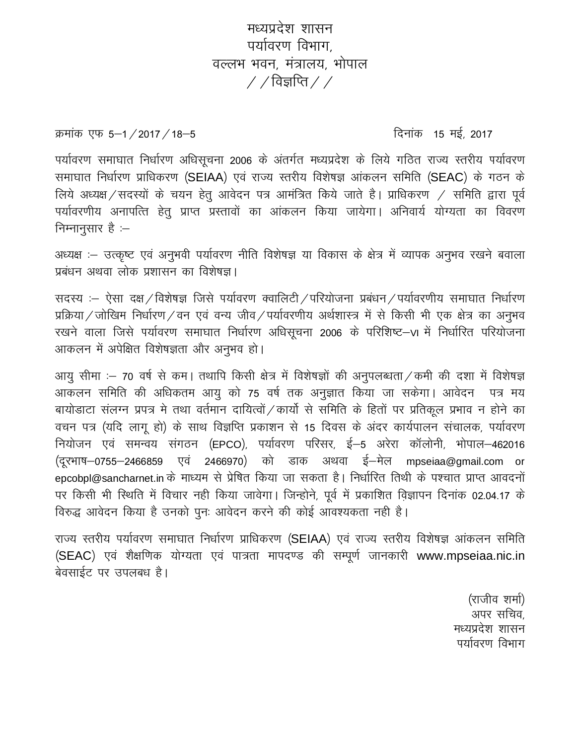मध्यप्रदेश शासन पर्यावरण विभाग वल्लभ भवन मंत्रालय भोपाल  $\frac{1}{2}$  / विज्ञप्ति / /

क्रमांक एफ 5–1/2017/18–5

दिनांक 15 मई, 2017

पर्यावरण समाघात निर्धारण अधिसूचना 2006 के अंतर्गत मध्यप्रदेश के लिये गठित राज्य स्तरीय पर्यावरण समाघात निर्धारण प्राधिकरण (SEIAA) एवं राज्य स्तरीय विशेषज्ञ आंकलन समिति (SEAC) के गठन के लिये अध्यक्ष / सदस्यों के चयन हेतु आवेदन पत्र आमंत्रित किये जाते है। प्राधिकरण / समिति द्वारा पूर्व पर्यावरणीय अनापत्ति हेतु प्राप्त प्रस्तावों का आंकलन किया जायेगा। अनिवार्य योग्यता का विवरण निम्नानुसार है :-

अध्यक्ष :– उत्कृष्ट एवं अनुभवी पर्यावरण नीति विशेषज्ञ या विकास के क्षेत्र में व्यापक अनुभव रखने बवाला प्रबंधन अथवा लोक प्रशासन का विशेषज्ञ।

सदस्य :- ऐसा दक्ष / विशेषज्ञ जिसे पर्यावरण क्वालिटी / परियोजना प्रबंधन / पर्यावरणीय समाघात निर्धारण प्रक्रिया / जोखिम निर्धारण / वन एवं वन्य जीव / पर्यावरणीय अर्थशास्त्र में से किसी भी एक क्षेत्र का अनुभव रखने वाला जिसे पर्यावरण समाघात निर्धारण अधिसूचना 2006 के परिशिष्ट–VI में निर्धारित परियोजना आकलन में अपेक्षित विशेषज्ञता और अनुभव हो।

आयु सीमा :- 70 वर्ष से कम। तथापि किसी क्षेत्र में विशेषज्ञों की अनुपलब्धता / कमी की दशा में विशेषज्ञ आकलन समिति की अधिकतम आयु को 75 वर्ष तक अनुज्ञात किया जा सकेगा। आवेदन पत्र मय बायोड़ाटा संलग्न प्रपत्र मे तथा वर्तमान दायित्वों / कार्यो से समिति के हितों पर प्रतिकूल प्रभाव न होने का वचन पत्र (यदि लागू हो) के साथ विज्ञप्ति प्रकाशन से 15 दिवस के अंदर कार्यपालन संचालक, पर्यावरण नियोजन एवं समन्वय संगठन (EPCO), पर्यावरण परिसर, ई-5 अरेरा कॉलोनी, भोपाल-462016 (दूरभाष–0755–2466859 एवं 2466970) को डाक अथवा ई–मेल mpseiaa@gmail.com or epcobpl@sancharnet.in के माध्यम से प्रेषित किया जा सकता है। निर्धारित तिथी के पश्चात प्राप्त आवदनों पर किसी भी स्थिति में विचार नही किया जावेगा। जिन्होने, पूर्व में प्रकाशित विज्ञापन दिनांक 02.04.17 के विरुद्ध आवेदन किया है उनको पुनः आवेदन करने की कोई आवश्यकता नही है।

राज्य स्तरीय पर्यावरण समाघात निर्धारण प्राधिकरण (SEIAA) एवं राज्य स्तरीय विशेषज्ञ आंकलन समिति (SEAC) एवं शैक्षणिक योग्यता एवं पात्रता मापदण्ड की सम्पूर्ण जानकारी www.mpseiaa.nic.in बेवसाईट पर उपलबध है।

> (राजीव शर्मा) अपर सचिव मध्यप्रदेश शासन पर्यावरण विभाग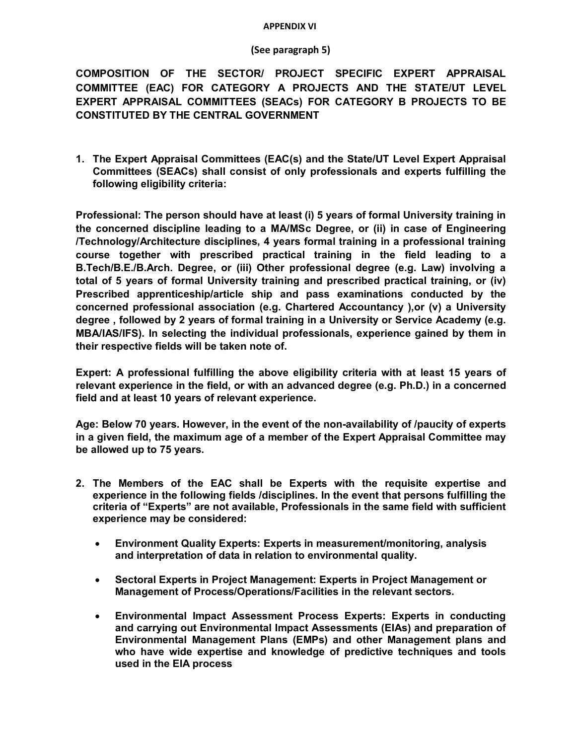#### **APPENDIX VI**

#### **(See paragraph 5)**

**COMPOSITION OF THE SECTOR/ PROJECT SPECIFIC EXPERT APPRAISAL COMMITTEE (EAC) FOR CATEGORY A PROJECTS AND THE STATE/UT LEVEL EXPERT APPRAISAL COMMITTEES (SEACs) FOR CATEGORY B PROJECTS TO BE CONSTITUTED BY THE CENTRAL GOVERNMENT** 

**1. The Expert Appraisal Committees (EAC(s) and the State/UT Level Expert Appraisal Committees (SEACs) shall consist of only professionals and experts fulfilling the following eligibility criteria:**

**Professional: The person should have at least (i) 5 years of formal University training in the concerned discipline leading to a MA/MSc Degree, or (ii) in case of Engineering /Technology/Architecture disciplines, 4 years formal training in a professional training course together with prescribed practical training in the field leading to a B.Tech/B.E./B.Arch. Degree, or (iii) Other professional degree (e.g. Law) involving a total of 5 years of formal University training and prescribed practical training, or (iv) Prescribed apprenticeship/article ship and pass examinations conducted by the concerned professional association (e.g. Chartered Accountancy ),or (v) a University degree , followed by 2 years of formal training in a University or Service Academy (e.g. MBA/IAS/IFS). In selecting the individual professionals, experience gained by them in their respective fields will be taken note of.**

**Expert: A professional fulfilling the above eligibility criteria with at least 15 years of relevant experience in the field, or with an advanced degree (e.g. Ph.D.) in a concerned field and at least 10 years of relevant experience.**

**Age: Below 70 years. However, in the event of the non-availability of /paucity of experts in a given field, the maximum age of a member of the Expert Appraisal Committee may be allowed up to 75 years.**

- **2. The Members of the EAC shall be Experts with the requisite expertise and experience in the following fields /disciplines. In the event that persons fulfilling the criteria of "Experts" are not available, Professionals in the same field with sufficient experience may be considered:**
	- · **Environment Quality Experts: Experts in measurement/monitoring, analysis and interpretation of data in relation to environmental quality.**
	- · **Sectoral Experts in Project Management: Experts in Project Management or Management of Process/Operations/Facilities in the relevant sectors.**
	- · **Environmental Impact Assessment Process Experts: Experts in conducting and carrying out Environmental Impact Assessments (EIAs) and preparation of Environmental Management Plans (EMPs) and other Management plans and who have wide expertise and knowledge of predictive techniques and tools used in the EIA process**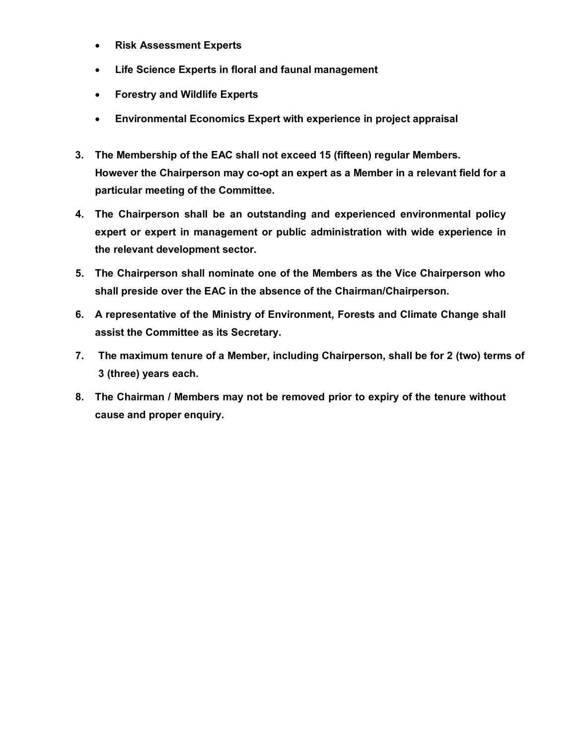- · **Risk Assessment Experts**
- · **Life Science Experts in floral and faunal management**
- · **Forestry and Wildlife Experts**
- · **Environmental Economics Expert with experience in project appraisal**
- **3. The Membership of the EAC shall not exceed 15 (fifteen) regular Members. However the Chairperson may co-opt an expert as a Member in a relevant field for a particular meeting of the Committee.**
- **4. The Chairperson shall be an outstanding and experienced environmental policy expert or expert in management or public administration with wide experience in the relevant development sector.**
- **5. The Chairperson shall nominate one of the Members as the Vice Chairperson who shall preside over the EAC in the absence of the Chairman/Chairperson.**
- **6. A representative of the Ministry of Environment, Forests and Climate Change shall assist the Committee as its Secretary.**
- **7. The maximum tenure of a Member, including Chairperson, shall be for 2 (two) terms of 3 (three) years each.**
- **8. The Chairman / Members may not be removed prior to expiry of the tenure without cause and proper enquiry.**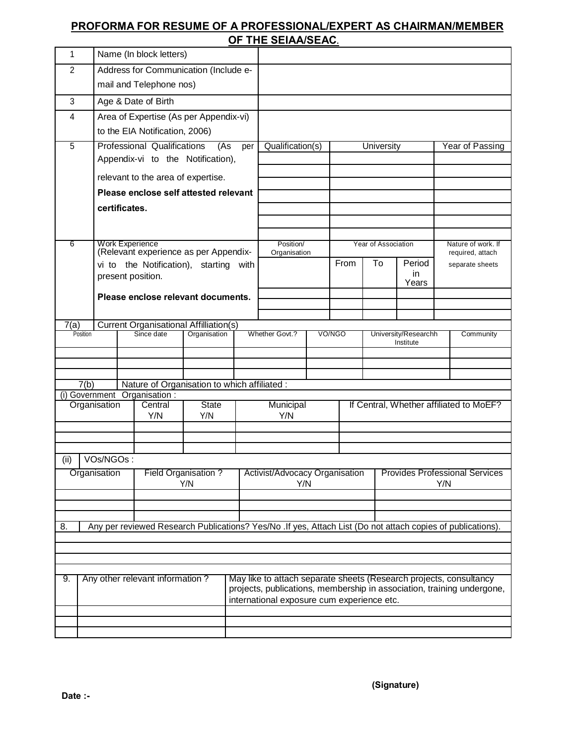# **PROFORMA FOR RESUME OF A PROFESSIONAL/EXPERT AS CHAIRMAN/MEMBER OF THE SEIAA/SEAC.**

|                                                                                                                   |                                       |                                                          |  |                                               |                     |                | …… v=…vv=n                                                                                                                                                                                 |        |                                         |                                   |              |                                        |                 |  |
|-------------------------------------------------------------------------------------------------------------------|---------------------------------------|----------------------------------------------------------|--|-----------------------------------------------|---------------------|----------------|--------------------------------------------------------------------------------------------------------------------------------------------------------------------------------------------|--------|-----------------------------------------|-----------------------------------|--------------|----------------------------------------|-----------------|--|
| 1                                                                                                                 |                                       |                                                          |  | Name (In block letters)                       |                     |                |                                                                                                                                                                                            |        |                                         |                                   |              |                                        |                 |  |
| $\overline{2}$                                                                                                    |                                       |                                                          |  | Address for Communication (Include e-         |                     |                |                                                                                                                                                                                            |        |                                         |                                   |              |                                        |                 |  |
|                                                                                                                   |                                       |                                                          |  | mail and Telephone nos)                       |                     |                |                                                                                                                                                                                            |        |                                         |                                   |              |                                        |                 |  |
| 3                                                                                                                 |                                       |                                                          |  | Age & Date of Birth                           |                     |                |                                                                                                                                                                                            |        |                                         |                                   |              |                                        |                 |  |
| 4                                                                                                                 |                                       |                                                          |  | Area of Expertise (As per Appendix-vi)        |                     |                |                                                                                                                                                                                            |        |                                         |                                   |              |                                        |                 |  |
|                                                                                                                   | to the EIA Notification, 2006)        |                                                          |  |                                               |                     |                |                                                                                                                                                                                            |        |                                         |                                   |              |                                        |                 |  |
| 5                                                                                                                 |                                       | Professional Qualifications<br>(As<br>per                |  |                                               |                     |                | Qualification(s)                                                                                                                                                                           |        |                                         | University                        |              |                                        | Year of Passing |  |
|                                                                                                                   | Appendix-vi to the Notification),     |                                                          |  |                                               |                     |                |                                                                                                                                                                                            |        |                                         |                                   |              |                                        |                 |  |
|                                                                                                                   |                                       | relevant to the area of expertise.                       |  |                                               |                     |                |                                                                                                                                                                                            |        |                                         |                                   |              |                                        |                 |  |
|                                                                                                                   | Please enclose self attested relevant |                                                          |  |                                               |                     |                |                                                                                                                                                                                            |        |                                         |                                   |              |                                        |                 |  |
|                                                                                                                   | certificates.                         |                                                          |  |                                               |                     |                |                                                                                                                                                                                            |        |                                         |                                   |              |                                        |                 |  |
|                                                                                                                   |                                       |                                                          |  |                                               |                     |                |                                                                                                                                                                                            |        |                                         |                                   |              |                                        |                 |  |
|                                                                                                                   |                                       |                                                          |  |                                               |                     |                |                                                                                                                                                                                            |        |                                         |                                   |              |                                        |                 |  |
| 6                                                                                                                 |                                       | Work Experience<br>(Relevant experience as per Appendix- |  |                                               |                     |                | Position/<br>Organisation                                                                                                                                                                  |        | Year of Association                     |                                   |              | Nature of work. If<br>required, attach |                 |  |
|                                                                                                                   |                                       | vi to the Notification), starting with                   |  |                                               |                     |                |                                                                                                                                                                                            |        | From                                    | To                                | Period       |                                        | separate sheets |  |
|                                                                                                                   |                                       |                                                          |  | present position.                             |                     |                |                                                                                                                                                                                            |        |                                         |                                   | in.<br>Years |                                        |                 |  |
|                                                                                                                   |                                       |                                                          |  | Please enclose relevant documents.            |                     |                |                                                                                                                                                                                            |        |                                         |                                   |              |                                        |                 |  |
|                                                                                                                   |                                       |                                                          |  |                                               |                     |                |                                                                                                                                                                                            |        |                                         |                                   |              |                                        |                 |  |
| 7(a)                                                                                                              |                                       |                                                          |  | <b>Current Organisational Affilliation(s)</b> |                     |                |                                                                                                                                                                                            |        |                                         |                                   |              |                                        |                 |  |
|                                                                                                                   | Position                              | Since date                                               |  | Organisation                                  |                     | Whether Govt.? |                                                                                                                                                                                            | VO/NGO |                                         | University/Researchh<br>Institute |              | Community                              |                 |  |
|                                                                                                                   |                                       |                                                          |  |                                               |                     |                |                                                                                                                                                                                            |        |                                         |                                   |              |                                        |                 |  |
|                                                                                                                   |                                       |                                                          |  |                                               |                     |                |                                                                                                                                                                                            |        |                                         |                                   |              |                                        |                 |  |
|                                                                                                                   | 7(b)                                  |                                                          |  | Nature of Organisation to which affiliated :  |                     |                |                                                                                                                                                                                            |        |                                         |                                   |              |                                        |                 |  |
| (i) Government Organisation :                                                                                     |                                       |                                                          |  |                                               |                     |                |                                                                                                                                                                                            |        |                                         |                                   |              |                                        |                 |  |
|                                                                                                                   |                                       | Organisation                                             |  | Central<br>Y/N                                | <b>State</b><br>Y/N |                | Municipal<br>Y/N                                                                                                                                                                           |        | If Central, Whether affiliated to MoEF? |                                   |              |                                        |                 |  |
|                                                                                                                   |                                       |                                                          |  |                                               |                     |                |                                                                                                                                                                                            |        |                                         |                                   |              |                                        |                 |  |
|                                                                                                                   |                                       |                                                          |  |                                               |                     |                |                                                                                                                                                                                            |        |                                         |                                   |              |                                        |                 |  |
| (ii)                                                                                                              |                                       | VOs/NGOs:                                                |  |                                               |                     |                |                                                                                                                                                                                            |        |                                         |                                   |              |                                        |                 |  |
| Organisation<br>Field Organisation?                                                                               |                                       |                                                          |  |                                               |                     |                | Activist/Advocacy Organisation<br><b>Provides Professional Services</b>                                                                                                                    |        |                                         |                                   |              |                                        |                 |  |
|                                                                                                                   |                                       |                                                          |  | Y/N                                           |                     |                | Y/N                                                                                                                                                                                        |        |                                         |                                   |              | Y/N                                    |                 |  |
|                                                                                                                   |                                       |                                                          |  |                                               |                     |                |                                                                                                                                                                                            |        |                                         |                                   |              |                                        |                 |  |
|                                                                                                                   |                                       |                                                          |  |                                               |                     |                |                                                                                                                                                                                            |        |                                         |                                   |              |                                        |                 |  |
| Any per reviewed Research Publications? Yes/No .If yes, Attach List (Do not attach copies of publications).<br>8. |                                       |                                                          |  |                                               |                     |                |                                                                                                                                                                                            |        |                                         |                                   |              |                                        |                 |  |
|                                                                                                                   |                                       |                                                          |  |                                               |                     |                |                                                                                                                                                                                            |        |                                         |                                   |              |                                        |                 |  |
|                                                                                                                   |                                       |                                                          |  |                                               |                     |                |                                                                                                                                                                                            |        |                                         |                                   |              |                                        |                 |  |
|                                                                                                                   |                                       |                                                          |  |                                               |                     |                |                                                                                                                                                                                            |        |                                         |                                   |              |                                        |                 |  |
| Any other relevant information?<br>9.                                                                             |                                       |                                                          |  |                                               |                     |                | May like to attach separate sheets (Research projects, consultancy<br>projects, publications, membership in association, training undergone,<br>international exposure cum experience etc. |        |                                         |                                   |              |                                        |                 |  |
|                                                                                                                   |                                       |                                                          |  |                                               |                     |                |                                                                                                                                                                                            |        |                                         |                                   |              |                                        |                 |  |
|                                                                                                                   |                                       |                                                          |  |                                               |                     |                |                                                                                                                                                                                            |        |                                         |                                   |              |                                        |                 |  |
|                                                                                                                   |                                       |                                                          |  |                                               |                     |                |                                                                                                                                                                                            |        |                                         |                                   |              |                                        |                 |  |